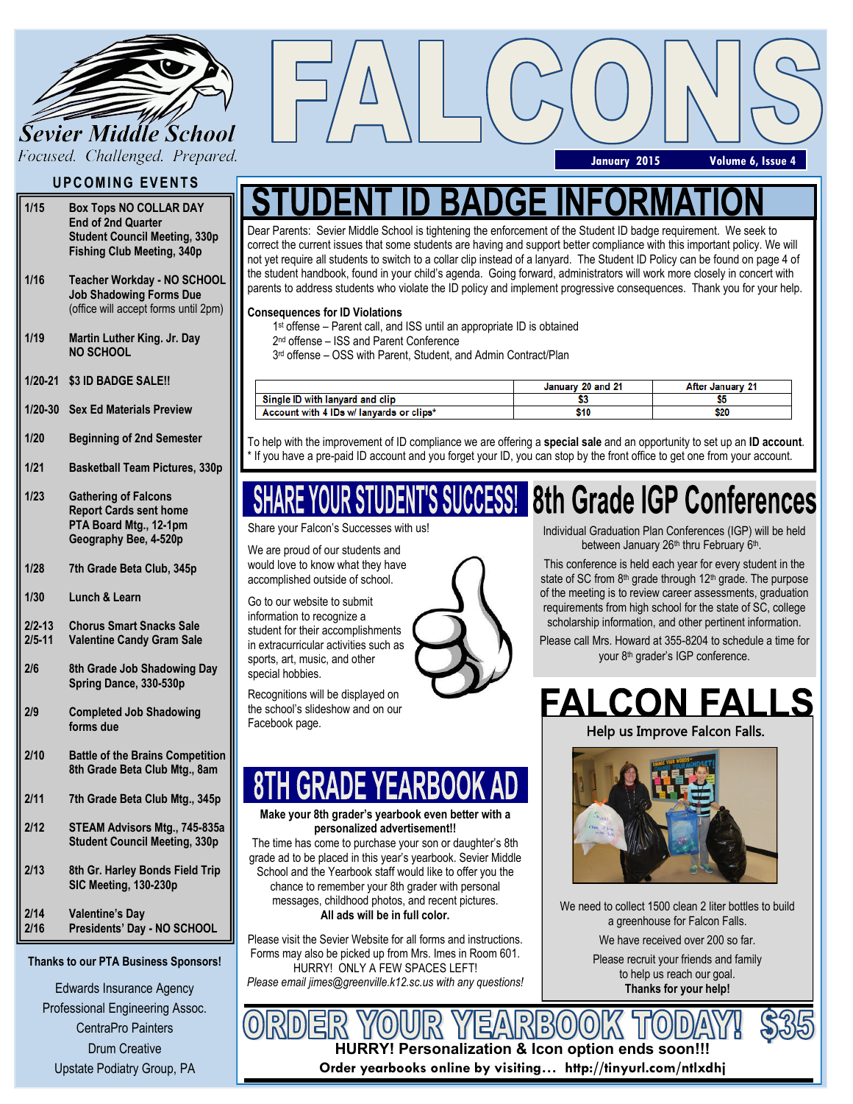

## **UPCOMING EVENTS**

- **1/15 Box Tops NO COLLAR DAY End of 2nd Quarter Student Council Meeting, 330p Fishing Club Meeting, 340p**
- **1/16 Teacher Workday - NO SCHOOL Job Shadowing Forms Due** (office will accept forms until 2pm)
- **1/19 Martin Luther King. Jr. Day NO SCHOOL**
- **1/20-21 \$3 ID BADGE SALE!!**
- **1/20-30 Sex Ed Materials Preview**
- **1/20 Beginning of 2nd Semester**
- **1/21 Basketball Team Pictures, 330p**
- **1/23 Gathering of Falcons Report Cards sent home PTA Board Mtg., 12-1pm Geography Bee, 4-520p**
- **1/28 7th Grade Beta Club, 345p**
- **1/30 Lunch & Learn**
- **2/2-13 Chorus Smart Snacks Sale**
- **2/5-11 Valentine Candy Gram Sale**
- **2/6 8th Grade Job Shadowing Day Spring Dance, 330-530p**
- **2/9 Completed Job Shadowing forms due**
- **2/10 Battle of the Brains Competition 8th Grade Beta Club Mtg., 8am**
- **2/11 7th Grade Beta Club Mtg., 345p**
- **2/12 STEAM Advisors Mtg., 745-835a Student Council Meeting, 330p**
- **2/13 8th Gr. Harley Bonds Field Trip SIC Meeting, 130-230p**
- **2/14 2/16 Valentine's Day Presidents' Day - NO SCHOOL**

### **Thanks to our PTA Business Sponsors!**

Edwards Insurance Agency Professional Engineering Assoc. CentraPro Painters Drum Creative Upstate Podiatry Group, PA

## **January 2015 Volume 6, Issue 4**

Dear Parents: Sevier Middle School is tightening the enforcement of the Student ID badge requirement. We seek to correct the current issues that some students are having and support better compliance with this important policy. We will not yet require all students to switch to a collar clip instead of a lanyard. The Student ID Policy can be found on page 4 of the student handbook, found in your child's agenda. Going forward, administrators will work more closely in concert with parents to address students who violate the ID policy and implement progressive consequences. Thank you for your help.

## **Consequences for ID Violations**

- 1 st offense Parent call, and ISS until an appropriate ID is obtained
- 2 nd offense ISS and Parent Conference
- 3 rd offense OSS with Parent, Student, and Admin Contract/Plan

|                                          | January 20 and 21 | After January 21 |
|------------------------------------------|-------------------|------------------|
| Single ID with lanvard and clip          |                   |                  |
| Account with 4 IDs w/ lanyards or clips* | 510               | \$20             |

To help with the improvement of ID compliance we are offering a **special sale** and an opportunity to set up an **ID account**. If you have a pre-paid ID account and you forget your ID, you can stop by the front office to get one from your account.

# 8th Grade IGP Conferences

Share your Falcon's Successes with us!

We are proud of our students and would love to know what they have accomplished outside of school.

Go to our website to submit information to recognize a student for their accomplishments in extracurricular activities such as sports, art, music, and other special hobbies.

Recognitions will be displayed on the school's slideshow and on our Facebook page.

### **Make your 8th grader's yearbook even better with a personalized advertisement!!**

The time has come to purchase your son or daughter's 8th grade ad to be placed in this year's yearbook. Sevier Middle School and the Yearbook staff would like to offer you the chance to remember your 8th grader with personal messages, childhood photos, and recent pictures. **All ads will be in full color.**

Please visit the Sevier Website for all forms and instructions. Forms may also be picked up from Mrs. Imes in Room 601. HURRY! ONLY A FEW SPACES LEFT! *Please email jimes@greenville.k12.sc.us with any questions!* Individual Graduation Plan Conferences (IGP) will be held between January 26<sup>th</sup> thru February 6<sup>th</sup>.

This conference is held each year for every student in the state of SC from 8<sup>th</sup> grade through 12<sup>th</sup> grade. The purpose of the meeting is to review career assessments, graduation requirements from high school for the state of SC, college scholarship information, and other pertinent information.

Please call Mrs. Howard at 355-8204 to schedule a time for your 8<sup>th</sup> grader's IGP conference.

# **FALCON FALLS**

Help us Improve Falcon Falls.



We need to collect 1500 clean 2 liter bottles to build a greenhouse for Falcon Falls. We have received over 200 so far.

> Please recruit your friends and family to help us reach our goal. **Thanks for your help!**



**HURRY! Personalization & Icon option ends soon!!!**

**Order yearbooks online by visiting… http://tinyurl.com/ntlxdhj**